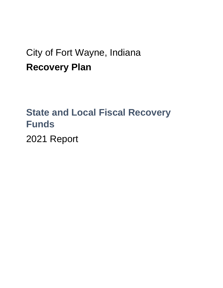# City of Fort Wayne, Indiana **Recovery Plan**

# **State and Local Fiscal Recovery Funds**

2021 Report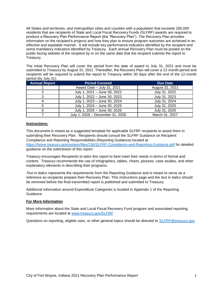All States and territories, and metropolitan cities and counties with a population that exceeds 250,000 residents that are recipients of State and Local Fiscal Recovery Funds (SLFRF) awards are required to produce a Recovery Plan Performance Report (the "Recovery Plan"). The Recovery Plan provides information on the recipient's projects and how they plan to ensure program outcomes are achieved in an effective and equitable manner. It will include key performance indicators identified by the recipient and some mandatory indicators identified by Treasury. Each annual Recovery Plan must be posted on the public-facing website of the recipient by or on the same date that the recipient submits the report to Treasury.

The initial Recovery Plan will cover the period from the date of award to July 31, 2021 and must be submitted to Treasury by August 31, 2021. Thereafter, the Recovery Plan will cover a 12-month period and recipients will be required to submit the report to Treasury within 30 days after the end of the 12-month period (by July 31).

| <b>Annual Report</b> | <b>Period Covered</b>            | <b>Due Date</b> |  |  |  |
|----------------------|----------------------------------|-----------------|--|--|--|
|                      | Award Date - July 31, 2021       | August 31, 2021 |  |  |  |
|                      | July 1, 2021 - June 30, 2022     | July 31, 2022   |  |  |  |
|                      | July 1, 2022 - June 30, 2023     | July 31, 2023   |  |  |  |
|                      | July 1, 2023 - June 30, 2024     | July 31, 2024   |  |  |  |
|                      | July 1, 2024 - June 30, 2025     | July 31, 2025   |  |  |  |
|                      | July 1, 2025 - June 30, 2026     | July 31, 2026   |  |  |  |
|                      | July 1, 2026 - December 31, 2026 | March 31, 2027  |  |  |  |

#### **Instructions:**

This document is meant as a suggested template for applicable SLFRF recipients to assist them in submitting their Recovery Plan. Recipients should consult the SLFRF Guidance on Recipient Compliance and Reporting Responsibilities (Reporting Guidance) located at <https://home.treasury.gov/system/files/136/SLFRF-Compliance-and-Reporting-Guidance.pdf> for detailed guidance on the submission of this report.

Treasury encourages Recipients to tailor this report to best meet their needs in terms of format and content. Treasury recommends the use of infographics, tables, charts, pictures, case studies, and other explanatory elements in describing their programs.

*Text in italics* represents the requirements from the Reporting Guidance and is meant to serve as a reference as recipients prepare their Recovery Plan. This instructions page and the *text in italics* should be removed before the final transmitted report is published and submitted to Treasury.

Additional information around Expenditure Categories is located in Appendix 1 of the Reporting Guidance.

#### **For More Information**

More information about the State and Local Fiscal Recovery Fund program and associated reporting requirements are located at [www.treasury.gov/SLFRP](http://www.treasury.gov/SLFRP) .

Questions on reporting, eligible uses, or other general topics should be directed to [SLFRP@treasury.gov.](mailto:SLFRP@treasury.gov)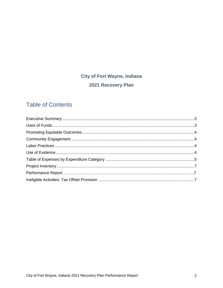## **City of Fort Wayne, Indiana** 2021 Recovery Plan

## **Table of Contents**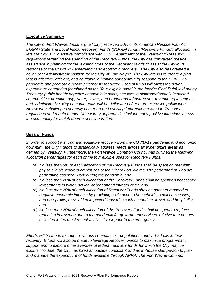#### **Executive Summary**

*The City of Fort Wayne, Indiana (the "City") received 50% of its American Rescue Plan Act (ARPA) State and Local Fiscal Recovery Funds (SLFRF) funds ("Recovery Funds") allocation in late May 2021. ITo ensure compliance with U. S. Department of the Treasury ("Treasury") regulations regarding the spending of the Recovery Funds, the City has contracted outside assistance in planning for the expenditures of the Recovery Funds to assist the City in its response to the COVID-19 emergency and economic recovery. The City also has created a new Grant Administrator position for the City of Fort Wayne. The City intends to create a plan that is effective, efficient, and equitable in helping our community respond to the COVID-19 pandemic and promote a healthy economic recovery. Uses of funds will target the seven expenditure categories (combined as the "four eligible uses" in the Interim Final Rule) laid out by Treasury: public health; negative economic impacts; services to disproportionately impacted communities; premium pay; water, sewer, and broadband infrastructure; revenue replacement; and, administrative. Key outcome goals will be delineated after more extensive public input. Noteworthy challenges primarily center around evolving information related to Treasury regulations and requirements. Noteworthy opportunities include early positive intentions across the community for a high degree of collaboration.* 

### **Uses of Funds**

*In order to support a strong and equitable recovery from the COVID-19 pandemic and economic downturn, the City intends to strategically address needs across all expenditure areas as defined by Treasury. Furthermore, the Fort Wayne Common Council has outlined the following allocation percentages for each of the four eligible uses for Recovery Funds:*

- *(a) No less than 5% of each allocation of the Recovery Funds shall be spent on premium pay to eligible workers/employees of the City of Fort Wayne who performed or who are performing essential work during the pandemic; and*
- *(b) No less than 20% of each allocation of the Recovery Funds shall be spent on necessary investments in water, sewer, or broadband infrastructure; and*
- *(c) No less than 20% of each allocation of Recovery Funds shall be spent to respond to negative economic impacts by providing assistance to households, small businesses, and non-profits, or as aid to impacted industries such as tourism, travel, and hospitality; and*
- *(d) No less than 20% of each allocation of the Recovery Funds shall be spent to replace reduction in revenue due to the pandemic for government services, relative to revenues collected in the most recent full fiscal year prior to the emergency.*

*Efforts will be made to support various communities, populations, and individuals in their recovery. Efforts will also be made to leverage Recovery Funds to maximize programmatic support and to explore other avenues of federal recovery funds for which the City may be eligible. To date, the City has hired an outside consultant and an in-house staff person to plan and manage the expenditure of funds available through ARPA. The Fort Wayne Common*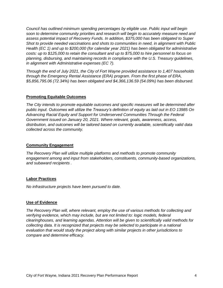*Council has outlined minimum spending percentages by eligible use. Public input will begin soon to determine community priorities and research will begin to accurately measure need and assess potential impact of Recovery Funds. In addition, \$375,000 has been obligated to Super Shot to provide needed vaccinations and shots to communities in need, in alignment with Public Health (EC 1) and up to \$200,000 (for calendar year 2021) has been obligated for administrative costs: up to \$125,000 to retain the consultant and up to \$75,000 to hire personnel to focus on planning, disbursing, and maintaining records in compliance with the U.S. Treasury guidelines, in alignment with Administrative expenses (EC 7).* 

*Through the end of July 2021, the City of Fort Wayne provided assistance to 1,407 households through the Emergency Rental Assistance (ERA) program. From the first phase of ERA, \$5,856,795.06 (72.34%) has been obligated and \$4,366,136.59 (54.09%) has been disbursed.* 

### **Promoting Equitable Outcomes**

*The City intends to promote equitable outcomes and specific measures will be determined after public input. Outcomes will utilize the Treasury's definition of equity as laid out in EO 13985 On Advancing Racial Equity and Support for Underserved Communities Through the Federal Government issued on January 20, 2021. Where relevant, goals, awareness, access, distribution, and outcomes will be tailored based on currently available, scientifically valid data collected across the community.* 

#### **Community Engagement**

*The Recovery Plan will utilize multiple platforms and methods to promote community engagement among and input from stakeholders, constituents, community-based organizations, and subaward recipients .* 

### **Labor Practices**

*No infrastructure projects have been pursued to date.* 

### **Use of Evidence**

*The Recovery Plan will, where relevant, employ the use of various methods for collecting and verifying evidence, which may include, but are not limited to: logic models, federal clearinghouses, and learning agendas. Attention will be given to scientifically valid methods for collecting data. It is recognized that projects may be selected to participate in a national evaluation that would study the project along with similar projects in other jurisdictions to compare and determine efficacy.*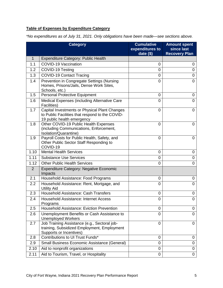### **Table of Expenses by Expenditure Category**

*\*No expenditures as of July 31, 2021. Only obligations have been made—see sections above.*

| <b>Category</b> |                                                                                                                                | <b>Cumulative</b><br>expenditures to<br>date $($)$ | <b>Amount spent</b><br>since last<br><b>Recovery Plan</b> |
|-----------------|--------------------------------------------------------------------------------------------------------------------------------|----------------------------------------------------|-----------------------------------------------------------|
| $\mathbf 1$     | <b>Expenditure Category: Public Health</b>                                                                                     |                                                    |                                                           |
| 1.1             | <b>COVID-19 Vaccination</b>                                                                                                    | 0                                                  | 0                                                         |
| 1.2             | COVID-19 Testing                                                                                                               | $\overline{0}$                                     | 0                                                         |
| 1.3             | COVID-19 Contact Tracing                                                                                                       | $\overline{0}$                                     | 0                                                         |
| 1.4             | Prevention in Congregate Settings (Nursing<br>Homes, Prisons/Jails, Dense Work Sites,<br>Schools, etc.)                        | 0                                                  | 0                                                         |
| 1.5             | <b>Personal Protective Equipment</b>                                                                                           | $\overline{0}$                                     | 0                                                         |
| 1.6             | Medical Expenses (including Alternative Care<br>Facilities)                                                                    | 0                                                  | 0                                                         |
| 1.7             | Capital Investments or Physical Plant Changes<br>to Public Facilities that respond to the COVID-<br>19 public health emergency | $\mathbf 0$                                        | 0                                                         |
| 1.8             | Other COVID-19 Public Health Expenses<br>(including Communications, Enforcement,<br>Isolation/Quarantine)                      | $\overline{0}$                                     | 0                                                         |
| 1.9             | Payroll Costs for Public Health, Safety, and<br>Other Public Sector Staff Responding to<br>COVID-19                            | 0                                                  | 0                                                         |
| 1.10            | <b>Mental Health Services</b>                                                                                                  | 0                                                  | 0                                                         |
| 1.11            | <b>Substance Use Services</b>                                                                                                  | 0                                                  | 0                                                         |
| 1.12            | <b>Other Public Health Services</b>                                                                                            | $\overline{0}$                                     | 0                                                         |
| 2               | <b>Expenditure Category: Negative Economic</b><br>Impacts                                                                      |                                                    |                                                           |
| 2.1             | Household Assistance: Food Programs                                                                                            | 0                                                  | 0                                                         |
| 2.2             | Household Assistance: Rent, Mortgage, and<br><b>Utility Aid</b>                                                                | $\overline{0}$                                     | 0                                                         |
| 2.3             | Household Assistance: Cash Transfers                                                                                           | $\mathbf 0$                                        | 0                                                         |
| 2.4             | <b>Household Assistance: Internet Access</b><br>Programs                                                                       | 0                                                  | 0                                                         |
| 2.5             | <b>Household Assistance: Eviction Prevention</b>                                                                               | $\overline{0}$                                     | 0                                                         |
| 2.6             | Unemployment Benefits or Cash Assistance to<br><b>Unemployed Workers</b>                                                       | $\overline{0}$                                     | $\mathbf 0$                                               |
| 2.7             | Job Training Assistance (e.g., Sectoral job-<br>training, Subsidized Employment, Employment<br>Supports or Incentives)         | $\overline{0}$                                     | 0                                                         |
| 2.8             | Contributions to UI Trust Funds*                                                                                               | 0                                                  | 0                                                         |
| 2.9             | Small Business Economic Assistance (General)                                                                                   | $\overline{0}$                                     | 0                                                         |
| 2.10            | Aid to nonprofit organizations                                                                                                 | 0                                                  | 0                                                         |
| 2.11            | Aid to Tourism, Travel, or Hospitality                                                                                         | $\overline{0}$                                     | 0                                                         |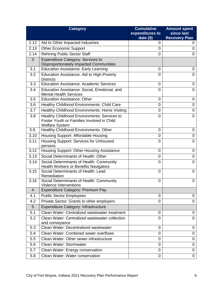| <b>Category</b>          |                                                                                                                    | <b>Cumulative</b><br>expenditures to | <b>Amount spent</b><br>since last |
|--------------------------|--------------------------------------------------------------------------------------------------------------------|--------------------------------------|-----------------------------------|
|                          |                                                                                                                    | date $(\$)$                          | <b>Recovery Plan</b>              |
| 2.12                     | Aid to Other Impacted Industries                                                                                   | 0                                    | 0                                 |
| 2.13                     | <b>Other Economic Support</b>                                                                                      | 0                                    | 0                                 |
| 2.14                     | <b>Rehiring Public Sector Staff</b>                                                                                | 0                                    | 0                                 |
| 3                        | <b>Expenditure Category: Services to</b>                                                                           |                                      |                                   |
|                          | Disproportionately Impacted Communities                                                                            |                                      |                                   |
| 3.1                      | <b>Education Assistance: Early Learning</b>                                                                        | 0                                    | 0                                 |
| 3.2                      | Education Assistance: Aid to High-Poverty<br><b>Districts</b>                                                      | 0                                    | $\overline{0}$                    |
| 3.3                      | <b>Education Assistance: Academic Services</b>                                                                     | 0                                    | 0                                 |
| 3.4                      | Education Assistance: Social, Emotional, and<br><b>Mental Health Services</b>                                      | 0                                    | 0                                 |
| 3.5                      | <b>Education Assistance: Other</b>                                                                                 | 0                                    | 0                                 |
| 3.6                      | Healthy Childhood Environments: Child Care                                                                         | 0                                    | 0                                 |
| 3.7                      | Healthy Childhood Environments: Home Visiting                                                                      | 0                                    | 0                                 |
| 3.8                      | Healthy Childhood Environments: Services to<br>Foster Youth or Families Involved in Child<br><b>Welfare System</b> | 0                                    | $\overline{0}$                    |
| 3.9.                     | Healthy Childhood Environments: Other                                                                              | 0                                    | 0                                 |
| 3.10                     | Housing Support: Affordable Housing                                                                                | 0                                    | 0                                 |
| 3.11                     | Housing Support: Services for Unhoused<br>persons                                                                  | 0                                    | 0                                 |
| 3.12                     | Housing Support: Other Housing Assistance                                                                          | 0                                    | 0                                 |
| 3.13                     | Social Determinants of Health: Other                                                                               | 0                                    | $\mathbf 0$                       |
| 3.14                     | Social Determinants of Health: Community<br><b>Health Workers or Benefits Navigators</b>                           | 0                                    | $\overline{0}$                    |
| 3.15                     | Social Determinants of Health: Lead<br>Remediation                                                                 | 0                                    | 0                                 |
| 3.16                     | Social Determinants of Health: Community<br><b>Violence Interventions</b>                                          | 0                                    | 0                                 |
| $\overline{\mathcal{A}}$ | Expenditure Category: Premium Pay                                                                                  |                                      |                                   |
| 4.1                      | <b>Public Sector Employees</b>                                                                                     | 0                                    | 0                                 |
| 4.2                      | Private Sector: Grants to other employers                                                                          | 0                                    | $\mathbf 0$                       |
| 5                        | Expenditure Category: Infrastructure                                                                               |                                      |                                   |
| 5.1                      | Clean Water: Centralized wastewater treatment                                                                      | 0                                    | 0                                 |
| 5.2                      | Clean Water: Centralized wastewater collection<br>and conveyance                                                   | 0                                    | 0                                 |
| 5.3                      | Clean Water: Decentralized wastewater                                                                              | 0                                    | 0                                 |
| 5.4                      | Clean Water: Combined sewer overflows                                                                              | 0                                    | 0                                 |
| 5.5                      | Clean Water: Other sewer infrastructure                                                                            | 0                                    | 0                                 |
| 5.6                      | Clean Water: Stormwater                                                                                            | 0                                    | 0                                 |
| 5.7                      | Clean Water: Energy conservation                                                                                   | 0                                    | $\mathbf 0$                       |
| 5.8                      | Clean Water: Water conservation                                                                                    | 0                                    | 0                                 |